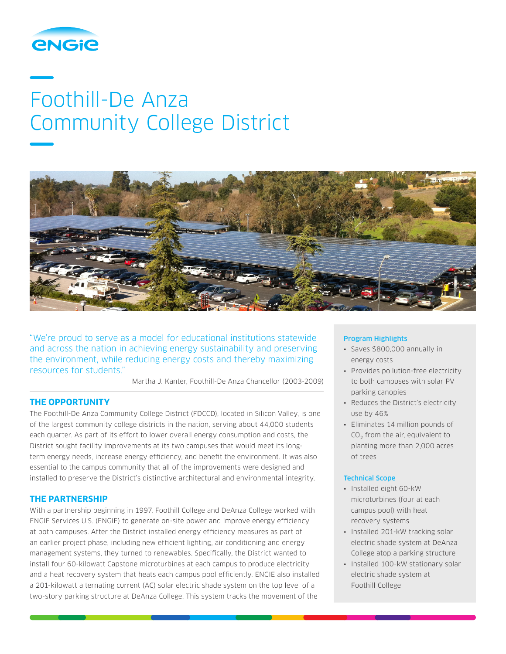

# Foothill-De Anza Community College District



"We're proud to serve as a model for educational institutions statewide and across the nation in achieving energy sustainability and preserving the environment, while reducing energy costs and thereby maximizing resources for students."

Martha J. Kanter, Foothill-De Anza Chancellor (2003-2009)

# **THE OPPORTUNITY**

The Foothill-De Anza Community College District (FDCCD), located in Silicon Valley, is one of the largest community college districts in the nation, serving about 44,000 students each quarter. As part of its effort to lower overall energy consumption and costs, the District sought facility improvements at its two campuses that would meet its longterm energy needs, increase energy efficiency, and benefit the environment. It was also essential to the campus community that all of the improvements were designed and installed to preserve the District's distinctive architectural and environmental integrity.

# **THE PARTNERSHIP**

With a partnership beginning in 1997, Foothill College and DeAnza College worked with ENGIE Services U.S. (ENGIE) to generate on-site power and improve energy efficiency at both campuses. After the District installed energy efficiency measures as part of an earlier project phase, including new efficient lighting, air conditioning and energy management systems, they turned to renewables. Specifically, the District wanted to install four 60-kilowatt Capstone microturbines at each campus to produce electricity and a heat recovery system that heats each campus pool efficiently. ENGIE also installed a 201-kilowatt alternating current (AC) solar electric shade system on the top level of a two-story parking structure at DeAnza College. This system tracks the movement of the

## Program Highlights

- Saves \$800,000 annually in energy costs
- Provides pollution-free electricity to both campuses with solar PV parking canopies
- Reduces the District's electricity use by 46%
- Eliminates 14 million pounds of  $CO<sub>2</sub>$  from the air, equivalent to planting more than 2,000 acres of trees

### Technical Scope

- Installed eight 60-kW microturbines (four at each campus pool) with heat recovery systems
- Installed 201-kW tracking solar electric shade system at DeAnza College atop a parking structure
- Installed 100-kW stationary solar electric shade system at Foothill College